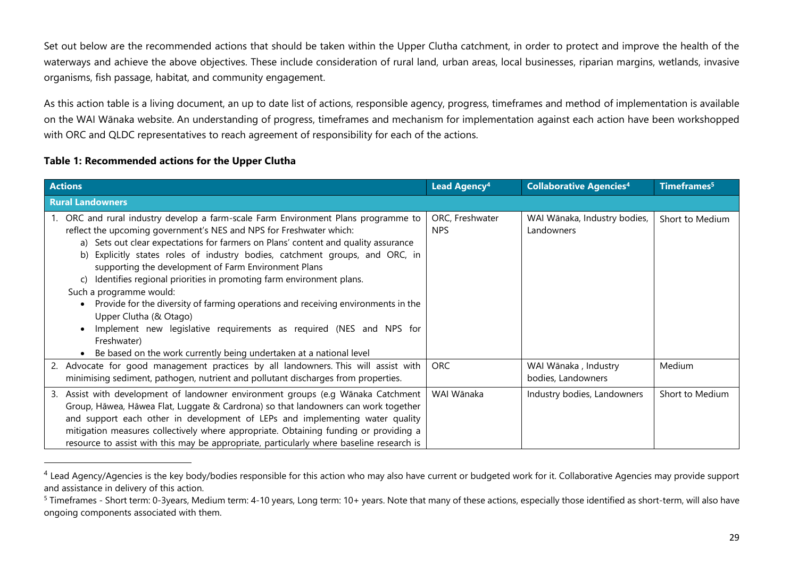Set out below are the recommended actions that should be taken within the Upper Clutha catchment, in order to protect and improve the health of the waterways and achieve the above objectives. These include consideration of rural land, urban areas, local businesses, riparian margins, wetlands, invasive organisms, fish passage, habitat, and community engagement.

As this action table is a living document, an up to date list of actions, responsible agency, progress, timeframes and method of implementation is available on the WAI Wānaka website. An understanding of progress, timeframes and mechanism for implementation against each action have been workshopped with ORC and QLDC representatives to reach agreement of responsibility for each of the actions.

## **Table 1: Recommended actions for the Upper Clutha**

| <b>Actions</b>                                                                                                                                                                                                                                                                                                                                                                                                                                                                                                                                                                                                                                                                                                                                                             | Lead Agency <sup>4</sup>      | <b>Collaborative Agencies4</b>             | Timeframes <sup>5</sup> |
|----------------------------------------------------------------------------------------------------------------------------------------------------------------------------------------------------------------------------------------------------------------------------------------------------------------------------------------------------------------------------------------------------------------------------------------------------------------------------------------------------------------------------------------------------------------------------------------------------------------------------------------------------------------------------------------------------------------------------------------------------------------------------|-------------------------------|--------------------------------------------|-------------------------|
| <b>Rural Landowners</b>                                                                                                                                                                                                                                                                                                                                                                                                                                                                                                                                                                                                                                                                                                                                                    |                               |                                            |                         |
| 1. ORC and rural industry develop a farm-scale Farm Environment Plans programme to<br>reflect the upcoming government's NES and NPS for Freshwater which:<br>a) Sets out clear expectations for farmers on Plans' content and quality assurance<br>b) Explicitly states roles of industry bodies, catchment groups, and ORC, in<br>supporting the development of Farm Environment Plans<br>c) Identifies regional priorities in promoting farm environment plans.<br>Such a programme would:<br>Provide for the diversity of farming operations and receiving environments in the<br>Upper Clutha (& Otago)<br>Implement new legislative requirements as required (NES and NPS for<br>Freshwater)<br>• Be based on the work currently being undertaken at a national level | ORC, Freshwater<br><b>NPS</b> | WAI Wānaka, Industry bodies,<br>Landowners | Short to Medium         |
| 2. Advocate for good management practices by all landowners. This will assist with<br>minimising sediment, pathogen, nutrient and pollutant discharges from properties.                                                                                                                                                                                                                                                                                                                                                                                                                                                                                                                                                                                                    | <b>ORC</b>                    | WAI Wānaka, Industry<br>bodies, Landowners | Medium                  |
| 3. Assist with development of landowner environment groups (e.g Wānaka Catchment<br>Group, Hāwea, Hāwea Flat, Luggate & Cardrona) so that landowners can work together<br>and support each other in development of LEPs and implementing water quality<br>mitigation measures collectively where appropriate. Obtaining funding or providing a<br>resource to assist with this may be appropriate, particularly where baseline research is                                                                                                                                                                                                                                                                                                                                 | WAI Wānaka                    | Industry bodies, Landowners                | Short to Medium         |

<sup>&</sup>lt;sup>4</sup> Lead Agency/Agencies is the key body/bodies responsible for this action who may also have current or budgeted work for it. Collaborative Agencies may provide support and assistance in delivery of this action.

<sup>&</sup>lt;sup>5</sup> Timeframes - Short term: 0-3years, Medium term: 4-10 years, Long term: 10+ years. Note that many of these actions, especially those identified as short-term, will also have ongoing components associated with them.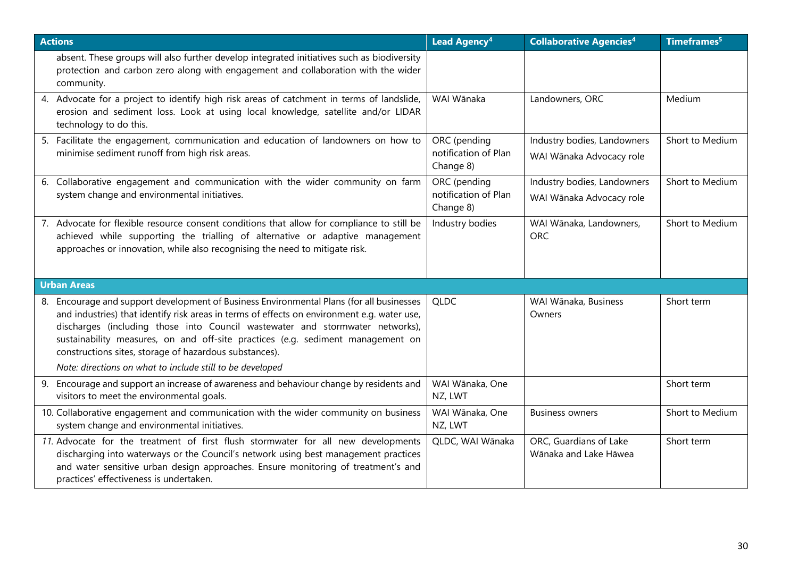| <b>Actions</b>                                                                                                                                                                                                                                                                                                                                                                                                        | Lead Agency <sup>4</sup>                          | <b>Collaborative Agencies<sup>4</sup></b>               | Timeframes <sup>5</sup> |
|-----------------------------------------------------------------------------------------------------------------------------------------------------------------------------------------------------------------------------------------------------------------------------------------------------------------------------------------------------------------------------------------------------------------------|---------------------------------------------------|---------------------------------------------------------|-------------------------|
| absent. These groups will also further develop integrated initiatives such as biodiversity<br>protection and carbon zero along with engagement and collaboration with the wider<br>community.                                                                                                                                                                                                                         |                                                   |                                                         |                         |
| 4. Advocate for a project to identify high risk areas of catchment in terms of landslide,<br>erosion and sediment loss. Look at using local knowledge, satellite and/or LIDAR<br>technology to do this.                                                                                                                                                                                                               | WAI Wānaka                                        | Landowners, ORC                                         | Medium                  |
| 5. Facilitate the engagement, communication and education of landowners on how to<br>minimise sediment runoff from high risk areas.                                                                                                                                                                                                                                                                                   | ORC (pending<br>notification of Plan<br>Change 8) | Industry bodies, Landowners<br>WAI Wānaka Advocacy role | Short to Medium         |
| 6. Collaborative engagement and communication with the wider community on farm<br>system change and environmental initiatives.                                                                                                                                                                                                                                                                                        | ORC (pending<br>notification of Plan<br>Change 8) | Industry bodies, Landowners<br>WAI Wānaka Advocacy role | Short to Medium         |
| 7. Advocate for flexible resource consent conditions that allow for compliance to still be<br>achieved while supporting the trialling of alternative or adaptive management<br>approaches or innovation, while also recognising the need to mitigate risk.                                                                                                                                                            | Industry bodies                                   | WAI Wānaka, Landowners,<br><b>ORC</b>                   | Short to Medium         |
| <b>Urban Areas</b>                                                                                                                                                                                                                                                                                                                                                                                                    |                                                   |                                                         |                         |
| 8. Encourage and support development of Business Environmental Plans (for all businesses<br>and industries) that identify risk areas in terms of effects on environment e.g. water use,<br>discharges (including those into Council wastewater and stormwater networks),<br>sustainability measures, on and off-site practices (e.g. sediment management on<br>constructions sites, storage of hazardous substances). | <b>QLDC</b>                                       | WAI Wānaka, Business<br>Owners                          | Short term              |
| Note: directions on what to include still to be developed                                                                                                                                                                                                                                                                                                                                                             |                                                   |                                                         |                         |
| 9. Encourage and support an increase of awareness and behaviour change by residents and<br>visitors to meet the environmental goals.                                                                                                                                                                                                                                                                                  | WAI Wānaka, One<br>NZ, LWT                        |                                                         | Short term              |
| 10. Collaborative engagement and communication with the wider community on business<br>system change and environmental initiatives.                                                                                                                                                                                                                                                                                   | WAI Wānaka, One<br>NZ, LWT                        | <b>Business owners</b>                                  | Short to Medium         |
| 11. Advocate for the treatment of first flush stormwater for all new developments<br>discharging into waterways or the Council's network using best management practices<br>and water sensitive urban design approaches. Ensure monitoring of treatment's and<br>practices' effectiveness is undertaken.                                                                                                              | QLDC, WAI Wānaka                                  | ORC, Guardians of Lake<br>Wānaka and Lake Hāwea         | Short term              |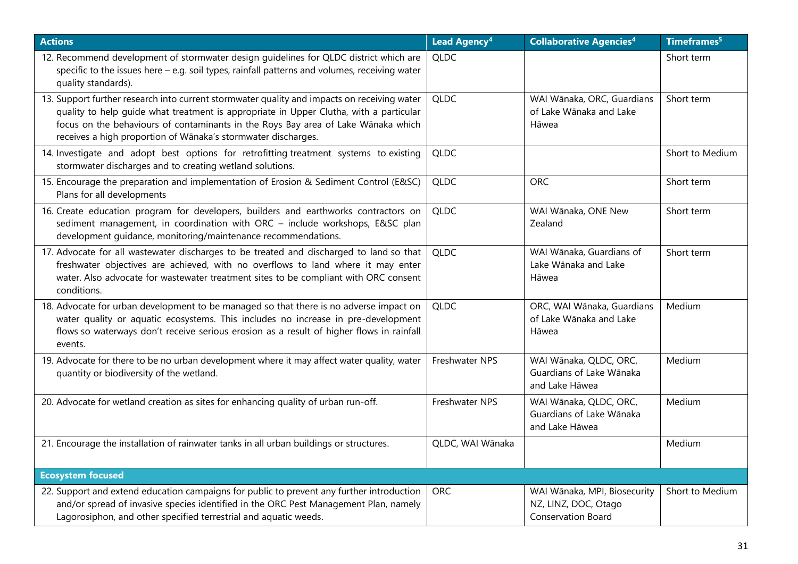| <b>Actions</b>                                                                                                                                                                                                                                                                                                                              | Lead Agency <sup>4</sup> | <b>Collaborative Agencies<sup>4</sup></b>                                         | Timeframes <sup>5</sup> |
|---------------------------------------------------------------------------------------------------------------------------------------------------------------------------------------------------------------------------------------------------------------------------------------------------------------------------------------------|--------------------------|-----------------------------------------------------------------------------------|-------------------------|
| 12. Recommend development of stormwater design guidelines for QLDC district which are<br>specific to the issues here - e.g. soil types, rainfall patterns and volumes, receiving water<br>quality standards).                                                                                                                               | <b>QLDC</b>              |                                                                                   | Short term              |
| 13. Support further research into current stormwater quality and impacts on receiving water<br>quality to help quide what treatment is appropriate in Upper Clutha, with a particular<br>focus on the behaviours of contaminants in the Roys Bay area of Lake Wānaka which<br>receives a high proportion of Wānaka's stormwater discharges. | <b>QLDC</b>              | WAI Wānaka, ORC, Guardians<br>of Lake Wānaka and Lake<br>Hāwea                    | Short term              |
| 14. Investigate and adopt best options for retrofitting treatment systems to existing<br>stormwater discharges and to creating wetland solutions.                                                                                                                                                                                           | <b>QLDC</b>              |                                                                                   | Short to Medium         |
| 15. Encourage the preparation and implementation of Erosion & Sediment Control (E&SC)<br>Plans for all developments                                                                                                                                                                                                                         | <b>QLDC</b>              | <b>ORC</b>                                                                        | Short term              |
| 16. Create education program for developers, builders and earthworks contractors on<br>sediment management, in coordination with ORC - include workshops, E&SC plan<br>development guidance, monitoring/maintenance recommendations.                                                                                                        | <b>QLDC</b>              | WAI Wānaka, ONE New<br>Zealand                                                    | Short term              |
| 17. Advocate for all wastewater discharges to be treated and discharged to land so that<br>freshwater objectives are achieved, with no overflows to land where it may enter<br>water. Also advocate for wastewater treatment sites to be compliant with ORC consent<br>conditions.                                                          | <b>QLDC</b>              | WAI Wānaka, Guardians of<br>Lake Wānaka and Lake<br>Hāwea                         | Short term              |
| 18. Advocate for urban development to be managed so that there is no adverse impact on<br>water quality or aquatic ecosystems. This includes no increase in pre-development<br>flows so waterways don't receive serious erosion as a result of higher flows in rainfall<br>events.                                                          | <b>QLDC</b>              | ORC, WAI Wānaka, Guardians<br>of Lake Wānaka and Lake<br>Hāwea                    | Medium                  |
| 19. Advocate for there to be no urban development where it may affect water quality, water<br>quantity or biodiversity of the wetland.                                                                                                                                                                                                      | Freshwater NPS           | WAI Wānaka, QLDC, ORC,<br>Guardians of Lake Wānaka<br>and Lake Hāwea              | Medium                  |
| 20. Advocate for wetland creation as sites for enhancing quality of urban run-off.                                                                                                                                                                                                                                                          | Freshwater NPS           | WAI Wānaka, QLDC, ORC,<br>Guardians of Lake Wānaka<br>and Lake Hāwea              | Medium                  |
| 21. Encourage the installation of rainwater tanks in all urban buildings or structures.                                                                                                                                                                                                                                                     | QLDC, WAI Wānaka         |                                                                                   | Medium                  |
| <b>Ecosystem focused</b>                                                                                                                                                                                                                                                                                                                    |                          |                                                                                   |                         |
| 22. Support and extend education campaigns for public to prevent any further introduction<br>and/or spread of invasive species identified in the ORC Pest Management Plan, namely<br>Lagorosiphon, and other specified terrestrial and aquatic weeds.                                                                                       | <b>ORC</b>               | WAI Wānaka, MPI, Biosecurity<br>NZ, LINZ, DOC, Otago<br><b>Conservation Board</b> | Short to Medium         |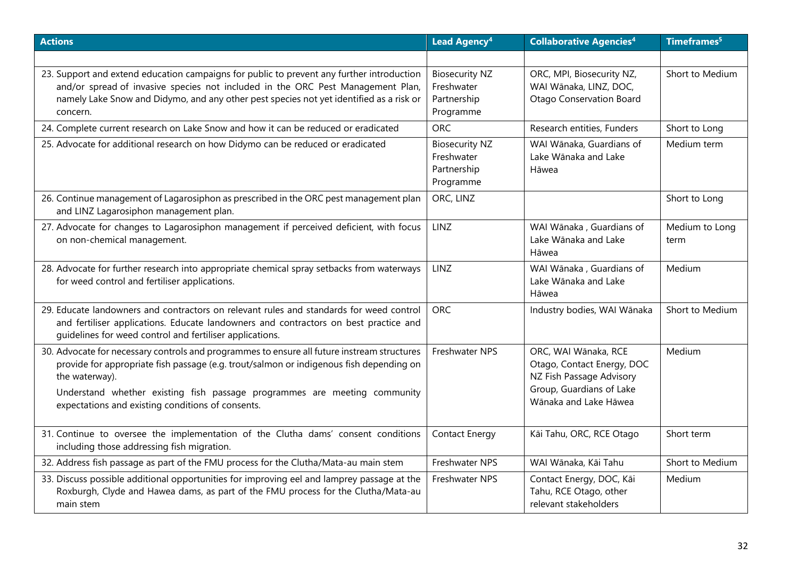| <b>Actions</b>                                                                                                                                                                                                                                                                                                                             | Lead Agency <sup>4</sup>                                        | <b>Collaborative Agencies<sup>4</sup></b>                                                                                           | Timeframes <sup>5</sup> |
|--------------------------------------------------------------------------------------------------------------------------------------------------------------------------------------------------------------------------------------------------------------------------------------------------------------------------------------------|-----------------------------------------------------------------|-------------------------------------------------------------------------------------------------------------------------------------|-------------------------|
|                                                                                                                                                                                                                                                                                                                                            |                                                                 |                                                                                                                                     |                         |
| 23. Support and extend education campaigns for public to prevent any further introduction<br>and/or spread of invasive species not included in the ORC Pest Management Plan,<br>namely Lake Snow and Didymo, and any other pest species not yet identified as a risk or<br>concern.                                                        | <b>Biosecurity NZ</b><br>Freshwater<br>Partnership<br>Programme | ORC, MPI, Biosecurity NZ,<br>WAI Wānaka, LINZ, DOC,<br><b>Otago Conservation Board</b>                                              | Short to Medium         |
| 24. Complete current research on Lake Snow and how it can be reduced or eradicated                                                                                                                                                                                                                                                         | <b>ORC</b>                                                      | Research entities, Funders                                                                                                          | Short to Long           |
| 25. Advocate for additional research on how Didymo can be reduced or eradicated                                                                                                                                                                                                                                                            | <b>Biosecurity NZ</b><br>Freshwater<br>Partnership<br>Programme | WAI Wānaka, Guardians of<br>Lake Wānaka and Lake<br>Hāwea                                                                           | Medium term             |
| 26. Continue management of Lagarosiphon as prescribed in the ORC pest management plan<br>and LINZ Lagarosiphon management plan.                                                                                                                                                                                                            | ORC, LINZ                                                       |                                                                                                                                     | Short to Long           |
| 27. Advocate for changes to Lagarosiphon management if perceived deficient, with focus<br>on non-chemical management.                                                                                                                                                                                                                      | LINZ                                                            | WAI Wānaka, Guardians of<br>Lake Wānaka and Lake<br>Hāwea                                                                           | Medium to Long<br>term  |
| 28. Advocate for further research into appropriate chemical spray setbacks from waterways<br>for weed control and fertiliser applications.                                                                                                                                                                                                 | <b>LINZ</b>                                                     | WAI Wānaka, Guardians of<br>Lake Wānaka and Lake<br>Hāwea                                                                           | Medium                  |
| 29. Educate landowners and contractors on relevant rules and standards for weed control<br>and fertiliser applications. Educate landowners and contractors on best practice and<br>guidelines for weed control and fertiliser applications.                                                                                                | <b>ORC</b>                                                      | Industry bodies, WAI Wānaka                                                                                                         | Short to Medium         |
| 30. Advocate for necessary controls and programmes to ensure all future instream structures<br>provide for appropriate fish passage (e.g. trout/salmon or indigenous fish depending on<br>the waterway).<br>Understand whether existing fish passage programmes are meeting community<br>expectations and existing conditions of consents. | Freshwater NPS                                                  | ORC, WAI Wānaka, RCE<br>Otago, Contact Energy, DOC<br>NZ Fish Passage Advisory<br>Group, Guardians of Lake<br>Wānaka and Lake Hāwea | Medium                  |
| 31. Continue to oversee the implementation of the Clutha dams' consent conditions<br>including those addressing fish migration.                                                                                                                                                                                                            | <b>Contact Energy</b>                                           | Kāi Tahu, ORC, RCE Otago                                                                                                            | Short term              |
| 32. Address fish passage as part of the FMU process for the Clutha/Mata-au main stem                                                                                                                                                                                                                                                       | Freshwater NPS                                                  | WAI Wānaka, Kāi Tahu                                                                                                                | Short to Medium         |
| 33. Discuss possible additional opportunities for improving eel and lamprey passage at the<br>Roxburgh, Clyde and Hawea dams, as part of the FMU process for the Clutha/Mata-au<br>main stem                                                                                                                                               | Freshwater NPS                                                  | Contact Energy, DOC, Kāi<br>Tahu, RCE Otago, other<br>relevant stakeholders                                                         | Medium                  |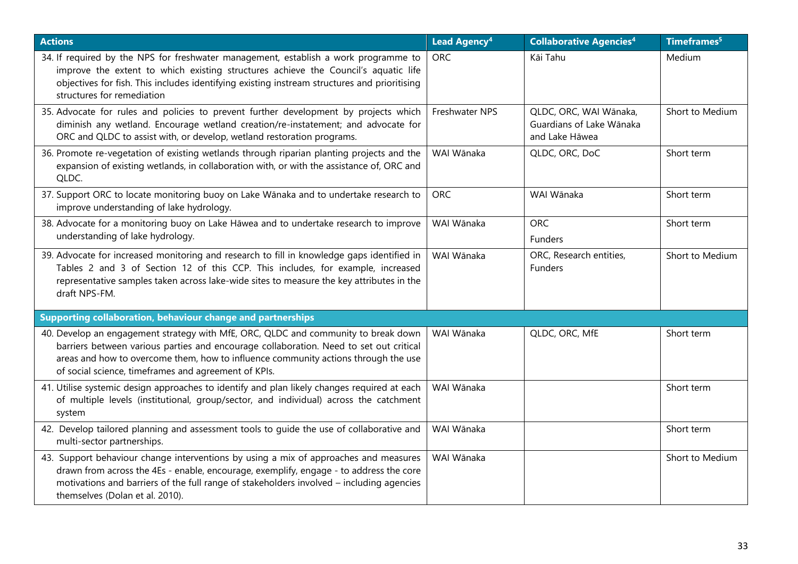| <b>Actions</b>                                                                                                                                                                                                                                                                                                             | <b>Lead Agency<sup>4</sup></b> | <b>Collaborative Agencies4</b>                                       | Timeframes <sup>5</sup> |
|----------------------------------------------------------------------------------------------------------------------------------------------------------------------------------------------------------------------------------------------------------------------------------------------------------------------------|--------------------------------|----------------------------------------------------------------------|-------------------------|
| 34. If required by the NPS for freshwater management, establish a work programme to<br>improve the extent to which existing structures achieve the Council's aquatic life<br>objectives for fish. This includes identifying existing instream structures and prioritising<br>structures for remediation                    | <b>ORC</b>                     | Kāi Tahu                                                             | Medium                  |
| 35. Advocate for rules and policies to prevent further development by projects which<br>diminish any wetland. Encourage wetland creation/re-instatement; and advocate for<br>ORC and QLDC to assist with, or develop, wetland restoration programs.                                                                        | Freshwater NPS                 | QLDC, ORC, WAI Wānaka,<br>Guardians of Lake Wānaka<br>and Lake Hāwea | Short to Medium         |
| 36. Promote re-vegetation of existing wetlands through riparian planting projects and the<br>expansion of existing wetlands, in collaboration with, or with the assistance of, ORC and<br>QLDC.                                                                                                                            | WAI Wānaka                     | QLDC, ORC, DoC                                                       | Short term              |
| 37. Support ORC to locate monitoring buoy on Lake Wānaka and to undertake research to<br>improve understanding of lake hydrology.                                                                                                                                                                                          | <b>ORC</b>                     | WAI Wānaka                                                           | Short term              |
| 38. Advocate for a monitoring buoy on Lake Hāwea and to undertake research to improve<br>understanding of lake hydrology.                                                                                                                                                                                                  | WAI Wānaka                     | <b>ORC</b><br>Funders                                                | Short term              |
| 39. Advocate for increased monitoring and research to fill in knowledge gaps identified in<br>Tables 2 and 3 of Section 12 of this CCP. This includes, for example, increased<br>representative samples taken across lake-wide sites to measure the key attributes in the<br>draft NPS-FM.                                 | WAI Wānaka                     | ORC, Research entities,<br>Funders                                   | Short to Medium         |
| Supporting collaboration, behaviour change and partnerships                                                                                                                                                                                                                                                                |                                |                                                                      |                         |
| 40. Develop an engagement strategy with MfE, ORC, QLDC and community to break down<br>barriers between various parties and encourage collaboration. Need to set out critical<br>areas and how to overcome them, how to influence community actions through the use<br>of social science, timeframes and agreement of KPIs. | WAI Wānaka                     | QLDC, ORC, MfE                                                       | Short term              |
| 41. Utilise systemic design approaches to identify and plan likely changes required at each<br>of multiple levels (institutional, group/sector, and individual) across the catchment<br>system                                                                                                                             | WAI Wānaka                     |                                                                      | Short term              |
| 42. Develop tailored planning and assessment tools to guide the use of collaborative and<br>multi-sector partnerships.                                                                                                                                                                                                     | WAI Wānaka                     |                                                                      | Short term              |
| 43. Support behaviour change interventions by using a mix of approaches and measures<br>drawn from across the 4Es - enable, encourage, exemplify, engage - to address the core<br>motivations and barriers of the full range of stakeholders involved - including agencies<br>themselves (Dolan et al. 2010).              | WAI Wānaka                     |                                                                      | Short to Medium         |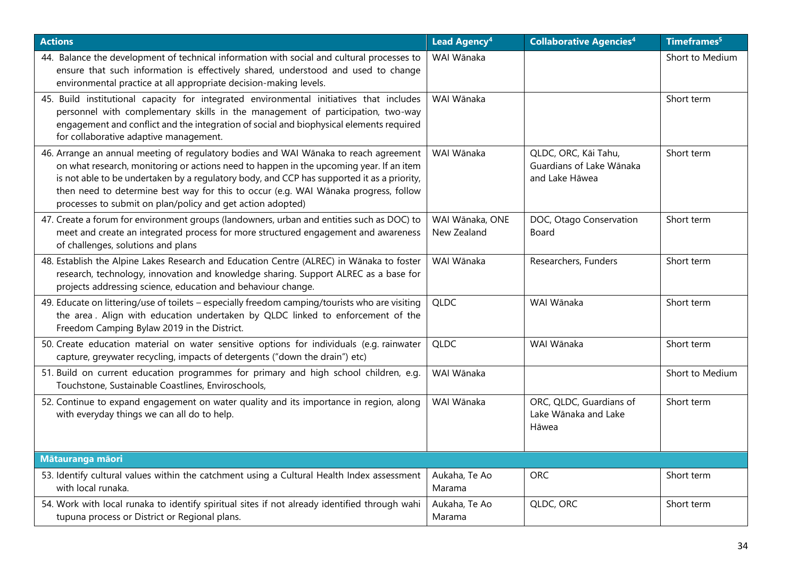| <b>Actions</b>                                                                                                                                                                                                                                                                                                                                                                                                                     | <b>Lead Agency<sup>4</sup></b> | <b>Collaborative Agencies<sup>4</sup></b>                          | Timeframes <sup>5</sup> |
|------------------------------------------------------------------------------------------------------------------------------------------------------------------------------------------------------------------------------------------------------------------------------------------------------------------------------------------------------------------------------------------------------------------------------------|--------------------------------|--------------------------------------------------------------------|-------------------------|
| 44. Balance the development of technical information with social and cultural processes to<br>ensure that such information is effectively shared, understood and used to change<br>environmental practice at all appropriate decision-making levels.                                                                                                                                                                               | WAI Wānaka                     |                                                                    | Short to Medium         |
| 45. Build institutional capacity for integrated environmental initiatives that includes<br>personnel with complementary skills in the management of participation, two-way<br>engagement and conflict and the integration of social and biophysical elements required<br>for collaborative adaptive management.                                                                                                                    | WAI Wānaka                     |                                                                    | Short term              |
| 46. Arrange an annual meeting of regulatory bodies and WAI Wānaka to reach agreement<br>on what research, monitoring or actions need to happen in the upcoming year. If an item<br>is not able to be undertaken by a regulatory body, and CCP has supported it as a priority,<br>then need to determine best way for this to occur (e.g. WAI Wānaka progress, follow<br>processes to submit on plan/policy and get action adopted) | WAI Wānaka                     | QLDC, ORC, Kāi Tahu,<br>Guardians of Lake Wānaka<br>and Lake Hāwea | Short term              |
| 47. Create a forum for environment groups (landowners, urban and entities such as DOC) to<br>meet and create an integrated process for more structured engagement and awareness<br>of challenges, solutions and plans                                                                                                                                                                                                              | WAI Wānaka, ONE<br>New Zealand | DOC, Otago Conservation<br>Board                                   | Short term              |
| 48. Establish the Alpine Lakes Research and Education Centre (ALREC) in Wānaka to foster<br>research, technology, innovation and knowledge sharing. Support ALREC as a base for<br>projects addressing science, education and behaviour change.                                                                                                                                                                                    | WAI Wānaka                     | Researchers, Funders                                               | Short term              |
| 49. Educate on littering/use of toilets - especially freedom camping/tourists who are visiting<br>the area. Align with education undertaken by QLDC linked to enforcement of the<br>Freedom Camping Bylaw 2019 in the District.                                                                                                                                                                                                    | <b>QLDC</b>                    | WAI Wānaka                                                         | Short term              |
| 50. Create education material on water sensitive options for individuals (e.g. rainwater<br>capture, greywater recycling, impacts of detergents ("down the drain") etc)                                                                                                                                                                                                                                                            | <b>QLDC</b>                    | WAI Wānaka                                                         | Short term              |
| 51. Build on current education programmes for primary and high school children, e.g.<br>Touchstone, Sustainable Coastlines, Enviroschools,                                                                                                                                                                                                                                                                                         | WAI Wānaka                     |                                                                    | Short to Medium         |
| 52. Continue to expand engagement on water quality and its importance in region, along<br>with everyday things we can all do to help.                                                                                                                                                                                                                                                                                              | WAI Wānaka                     | ORC, QLDC, Guardians of<br>Lake Wānaka and Lake<br>Hāwea           | Short term              |
| Mātauranga māori                                                                                                                                                                                                                                                                                                                                                                                                                   |                                |                                                                    |                         |
| 53. Identify cultural values within the catchment using a Cultural Health Index assessment<br>with local runaka.                                                                                                                                                                                                                                                                                                                   | Aukaha, Te Ao<br>Marama        | <b>ORC</b>                                                         | Short term              |
| 54. Work with local runaka to identify spiritual sites if not already identified through wahi<br>tupuna process or District or Regional plans.                                                                                                                                                                                                                                                                                     | Aukaha, Te Ao<br>Marama        | QLDC, ORC                                                          | Short term              |